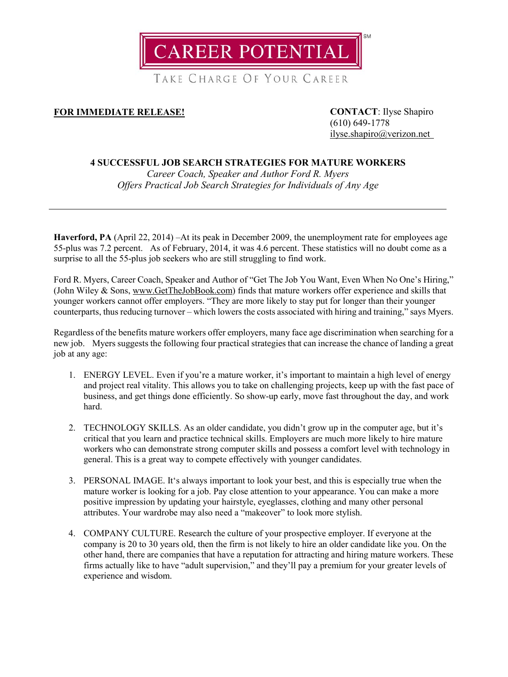

TAKE CHARGE OF YOUR CAREER

## **FOR IMMEDIATE RELEASE! CONTACT**: Ilyse Shapiro

(610) 649-1778 [ilyse.shapiro@verizon.net](mailto:ilyse.shapiro@verizon.net)

## **4 SUCCESSFUL JOB SEARCH STRATEGIES FOR MATURE WORKERS**

*Career Coach, Speaker and Author Ford R. Myers Offers Practical Job Search Strategies for Individuals of Any Age*

**Haverford, PA** (April 22, 2014) –At its peak in December 2009, the unemployment rate for employees age 55-plus was 7.2 percent. As of February, 2014, it was 4.6 percent. These statistics will no doubt come as a surprise to all the 55-plus job seekers who are still struggling to find work.

Ford R. Myers, Career Coach, Speaker and Author of "Get The Job You Want, Even When No One's Hiring," (John Wiley & Sons, [www.GetTheJobBook.com\)](http://www.getthejobbook.com/) finds that mature workers offer experience and skills that younger workers cannot offer employers. "They are more likely to stay put for longer than their younger counterparts, thus reducing turnover – which lowers the costs associated with hiring and training," says Myers.

Regardless of the benefits mature workers offer employers, many face age discrimination when searching for a new job. Myers suggests the following four practical strategies that can increase the chance of landing a great job at any age:

- 1. ENERGY LEVEL. Even if you're a mature worker, it's important to maintain a high level of energy and project real vitality. This allows you to take on challenging projects, keep up with the fast pace of business, and get things done efficiently. So show-up early, move fast throughout the day, and work hard.
- 2. TECHNOLOGY SKILLS. As an older candidate, you didn't grow up in the computer age, but it's critical that you learn and practice technical skills. Employers are much more likely to hire mature workers who can demonstrate strong computer skills and possess a comfort level with technology in general. This is a great way to compete effectively with younger candidates.
- 3. PERSONAL IMAGE. It's always important to look your best, and this is especially true when the mature worker is looking for a job. Pay close attention to your appearance. You can make a more positive impression by updating your hairstyle, eyeglasses, clothing and many other personal attributes. Your wardrobe may also need a "makeover" to look more stylish.
- 4. COMPANY CULTURE. Research the culture of your prospective employer. If everyone at the company is 20 to 30 years old, then the firm is not likely to hire an older candidate like you. On the other hand, there are companies that have a reputation for attracting and hiring mature workers. These firms actually like to have "adult supervision," and they'll pay a premium for your greater levels of experience and wisdom.